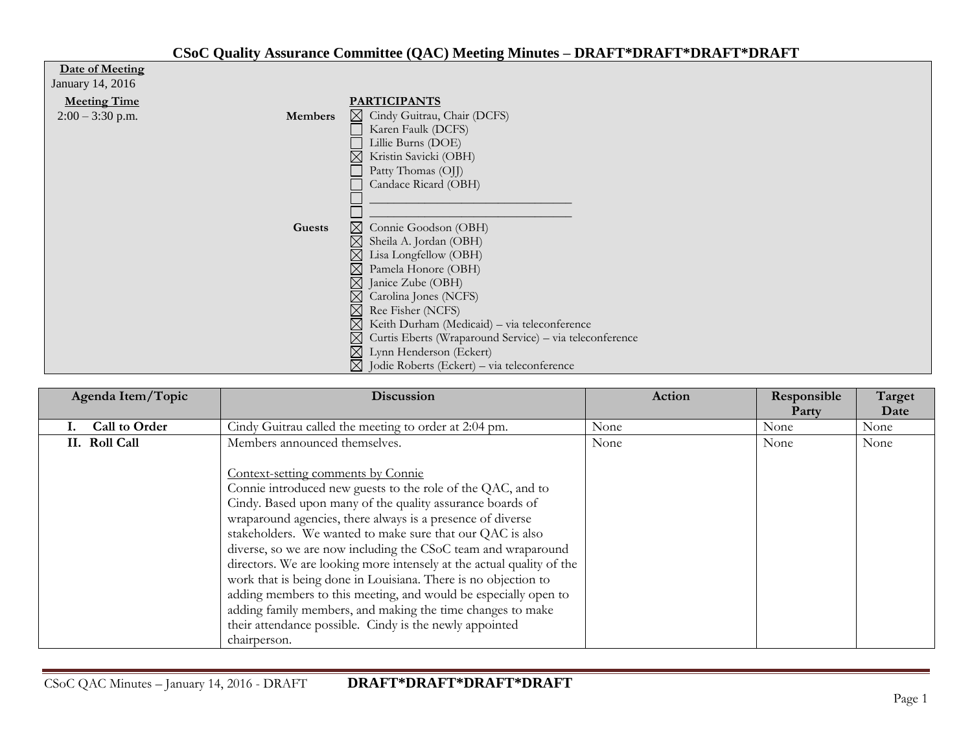## **CSoC Quality Assurance Committee (QAC) Meeting Minutes – DRAFT\*DRAFT\*DRAFT\*DRAFT**

| Date of Meeting               |  |  |  |
|-------------------------------|--|--|--|
| $I_{\text{convex}}$ 14 $2016$ |  |  |  |

| January 14, 2016    |                |                                                              |
|---------------------|----------------|--------------------------------------------------------------|
| <b>Meeting Time</b> |                | <b>PARTICIPANTS</b>                                          |
| $2:00 - 3:30$ p.m.  | <b>Members</b> | ⊠ Cindy Guitrau, Chair (DCFS)                                |
|                     |                | Karen Faulk (DCFS)                                           |
|                     |                | Lillie Burns (DOE)                                           |
|                     |                | Kristin Savicki (OBH)                                        |
|                     |                | Patty Thomas (OJJ)                                           |
|                     |                | Candace Ricard (OBH)                                         |
|                     |                |                                                              |
|                     |                |                                                              |
|                     | Guests         | $\boxtimes$ Connie Goodson (OBH)                             |
|                     |                | $\boxtimes$ Sheila A. Jordan (OBH)                           |
|                     |                | $\boxtimes$ Lisa Longfellow (OBH)                            |
|                     |                | $\boxtimes$<br>Pamela Honore (OBH)                           |
|                     |                | $\boxtimes$ Janice Zube (OBH)                                |
|                     |                | $\boxtimes$ Carolina Jones (NCFS)                            |
|                     |                | $\boxtimes$ Ree Fisher (NCFS)                                |
|                     |                | $\boxtimes$ Keith Durham (Medicaid) – via teleconference     |
|                     |                | ⊠<br>Curtis Eberts (Wraparound Service) - via teleconference |
|                     |                | $\boxtimes$ Lynn Henderson (Eckert)                          |
|                     |                | $\boxtimes$ Jodie Roberts (Eckert) – via teleconference      |

| Agenda Item/Topic    | <b>Discussion</b>                                                     | Action | Responsible<br>Party | Target<br>Date |
|----------------------|-----------------------------------------------------------------------|--------|----------------------|----------------|
| <b>Call to Order</b> | Cindy Guitrau called the meeting to order at 2:04 pm.                 | None   | None                 | None           |
| II. Roll Call        | Members announced themselves.                                         | None   | None                 | None           |
|                      | Context-setting comments by Connie                                    |        |                      |                |
|                      | Connie introduced new guests to the role of the QAC, and to           |        |                      |                |
|                      | Cindy. Based upon many of the quality assurance boards of             |        |                      |                |
|                      | wraparound agencies, there always is a presence of diverse            |        |                      |                |
|                      | stakeholders. We wanted to make sure that our QAC is also             |        |                      |                |
|                      | diverse, so we are now including the CSoC team and wraparound         |        |                      |                |
|                      | directors. We are looking more intensely at the actual quality of the |        |                      |                |
|                      | work that is being done in Louisiana. There is no objection to        |        |                      |                |
|                      | adding members to this meeting, and would be especially open to       |        |                      |                |
|                      | adding family members, and making the time changes to make            |        |                      |                |
|                      | their attendance possible. Cindy is the newly appointed               |        |                      |                |
|                      | chairperson.                                                          |        |                      |                |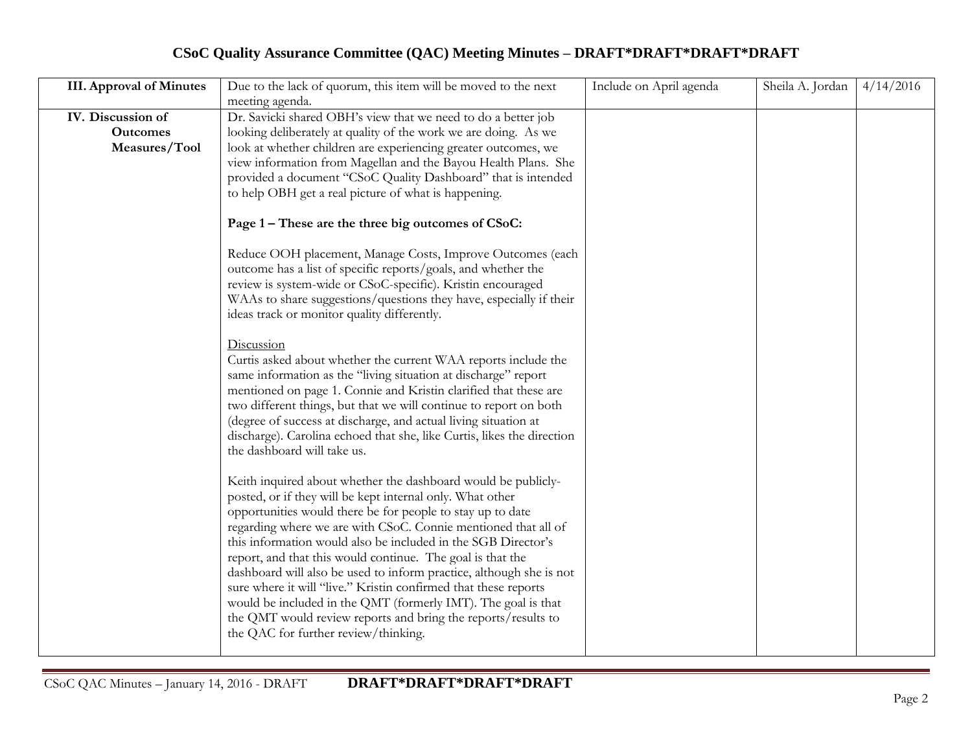## **CSoC Quality Assurance Committee (QAC) Meeting Minutes – DRAFT\*DRAFT\*DRAFT\*DRAFT**

| <b>III.</b> Approval of Minutes | Due to the lack of quorum, this item will be moved to the next                                        | Include on April agenda | Sheila A. Jordan | 4/14/2016 |
|---------------------------------|-------------------------------------------------------------------------------------------------------|-------------------------|------------------|-----------|
|                                 | meeting agenda.                                                                                       |                         |                  |           |
| IV. Discussion of               | Dr. Savicki shared OBH's view that we need to do a better job                                         |                         |                  |           |
| <b>Outcomes</b>                 | looking deliberately at quality of the work we are doing. As we                                       |                         |                  |           |
| Measures/Tool                   | look at whether children are experiencing greater outcomes, we                                        |                         |                  |           |
|                                 | view information from Magellan and the Bayou Health Plans. She                                        |                         |                  |           |
|                                 | provided a document "CSoC Quality Dashboard" that is intended                                         |                         |                  |           |
|                                 | to help OBH get a real picture of what is happening.                                                  |                         |                  |           |
|                                 |                                                                                                       |                         |                  |           |
|                                 | Page 1 – These are the three big outcomes of CSoC:                                                    |                         |                  |           |
|                                 | Reduce OOH placement, Manage Costs, Improve Outcomes (each                                            |                         |                  |           |
|                                 | outcome has a list of specific reports/goals, and whether the                                         |                         |                  |           |
|                                 | review is system-wide or CSoC-specific). Kristin encouraged                                           |                         |                  |           |
|                                 | WAAs to share suggestions/questions they have, especially if their                                    |                         |                  |           |
|                                 | ideas track or monitor quality differently.                                                           |                         |                  |           |
|                                 |                                                                                                       |                         |                  |           |
|                                 | Discussion                                                                                            |                         |                  |           |
|                                 | Curtis asked about whether the current WAA reports include the                                        |                         |                  |           |
|                                 | same information as the "living situation at discharge" report                                        |                         |                  |           |
|                                 | mentioned on page 1. Connie and Kristin clarified that these are                                      |                         |                  |           |
|                                 | two different things, but that we will continue to report on both                                     |                         |                  |           |
|                                 | (degree of success at discharge, and actual living situation at                                       |                         |                  |           |
|                                 | discharge). Carolina echoed that she, like Curtis, likes the direction<br>the dashboard will take us. |                         |                  |           |
|                                 |                                                                                                       |                         |                  |           |
|                                 | Keith inquired about whether the dashboard would be publicly-                                         |                         |                  |           |
|                                 | posted, or if they will be kept internal only. What other                                             |                         |                  |           |
|                                 | opportunities would there be for people to stay up to date                                            |                         |                  |           |
|                                 | regarding where we are with CSoC. Connie mentioned that all of                                        |                         |                  |           |
|                                 | this information would also be included in the SGB Director's                                         |                         |                  |           |
|                                 | report, and that this would continue. The goal is that the                                            |                         |                  |           |
|                                 | dashboard will also be used to inform practice, although she is not                                   |                         |                  |           |
|                                 | sure where it will "live." Kristin confirmed that these reports                                       |                         |                  |           |
|                                 | would be included in the QMT (formerly IMT). The goal is that                                         |                         |                  |           |
|                                 | the QMT would review reports and bring the reports/results to                                         |                         |                  |           |
|                                 | the QAC for further review/thinking.                                                                  |                         |                  |           |
|                                 |                                                                                                       |                         |                  |           |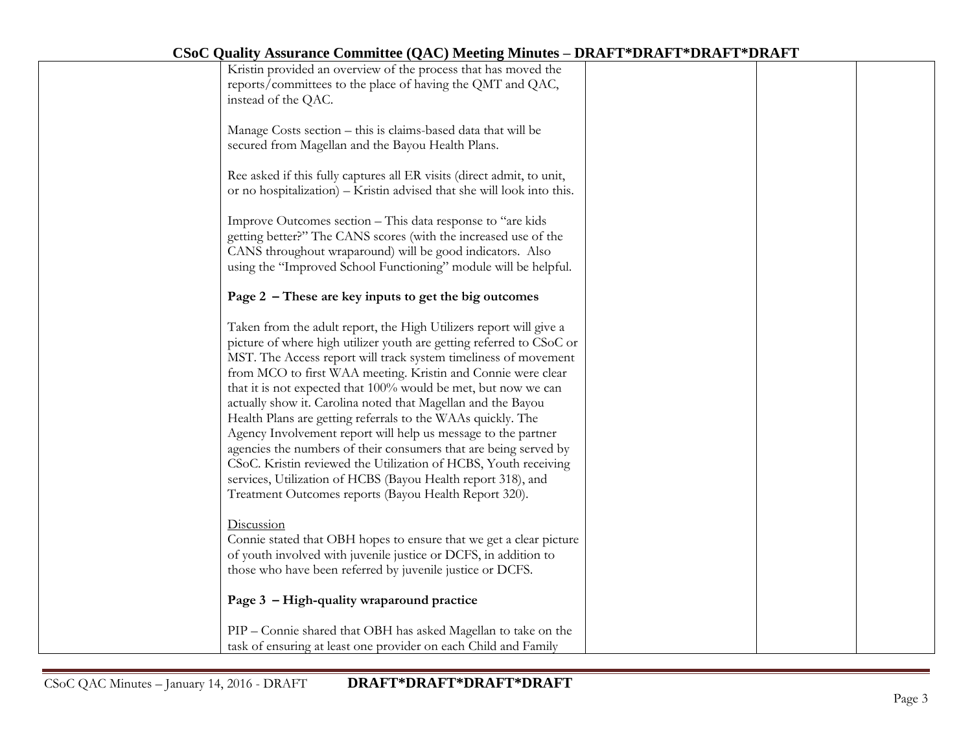| $\mathcal{L}(X, Y)$ is the set of commence $\mathcal{L}(X, Y)$ is the set of $X$                                                                                                                                                                                                                                                                                                                                                                                                                                                                                                                                                                                                                                                                                                                                |  |  |
|-----------------------------------------------------------------------------------------------------------------------------------------------------------------------------------------------------------------------------------------------------------------------------------------------------------------------------------------------------------------------------------------------------------------------------------------------------------------------------------------------------------------------------------------------------------------------------------------------------------------------------------------------------------------------------------------------------------------------------------------------------------------------------------------------------------------|--|--|
| Kristin provided an overview of the process that has moved the<br>reports/committees to the place of having the QMT and QAC,<br>instead of the QAC.                                                                                                                                                                                                                                                                                                                                                                                                                                                                                                                                                                                                                                                             |  |  |
| Manage Costs section - this is claims-based data that will be<br>secured from Magellan and the Bayou Health Plans.                                                                                                                                                                                                                                                                                                                                                                                                                                                                                                                                                                                                                                                                                              |  |  |
| Ree asked if this fully captures all ER visits (direct admit, to unit,<br>or no hospitalization) – Kristin advised that she will look into this.                                                                                                                                                                                                                                                                                                                                                                                                                                                                                                                                                                                                                                                                |  |  |
| Improve Outcomes section - This data response to "are kids"<br>getting better?" The CANS scores (with the increased use of the<br>CANS throughout wraparound) will be good indicators. Also<br>using the "Improved School Functioning" module will be helpful.                                                                                                                                                                                                                                                                                                                                                                                                                                                                                                                                                  |  |  |
| Page 2 - These are key inputs to get the big outcomes                                                                                                                                                                                                                                                                                                                                                                                                                                                                                                                                                                                                                                                                                                                                                           |  |  |
| Taken from the adult report, the High Utilizers report will give a<br>picture of where high utilizer youth are getting referred to CSoC or<br>MST. The Access report will track system timeliness of movement<br>from MCO to first WAA meeting. Kristin and Connie were clear<br>that it is not expected that 100% would be met, but now we can<br>actually show it. Carolina noted that Magellan and the Bayou<br>Health Plans are getting referrals to the WAAs quickly. The<br>Agency Involvement report will help us message to the partner<br>agencies the numbers of their consumers that are being served by<br>CSoC. Kristin reviewed the Utilization of HCBS, Youth receiving<br>services, Utilization of HCBS (Bayou Health report 318), and<br>Treatment Outcomes reports (Bayou Health Report 320). |  |  |
| Discussion<br>Connie stated that OBH hopes to ensure that we get a clear picture<br>of youth involved with juvenile justice or DCFS, in addition to<br>those who have been referred by juvenile justice or DCFS.                                                                                                                                                                                                                                                                                                                                                                                                                                                                                                                                                                                                |  |  |
| Page 3 - High-quality wraparound practice                                                                                                                                                                                                                                                                                                                                                                                                                                                                                                                                                                                                                                                                                                                                                                       |  |  |
| PIP - Connie shared that OBH has asked Magellan to take on the<br>task of ensuring at least one provider on each Child and Family                                                                                                                                                                                                                                                                                                                                                                                                                                                                                                                                                                                                                                                                               |  |  |